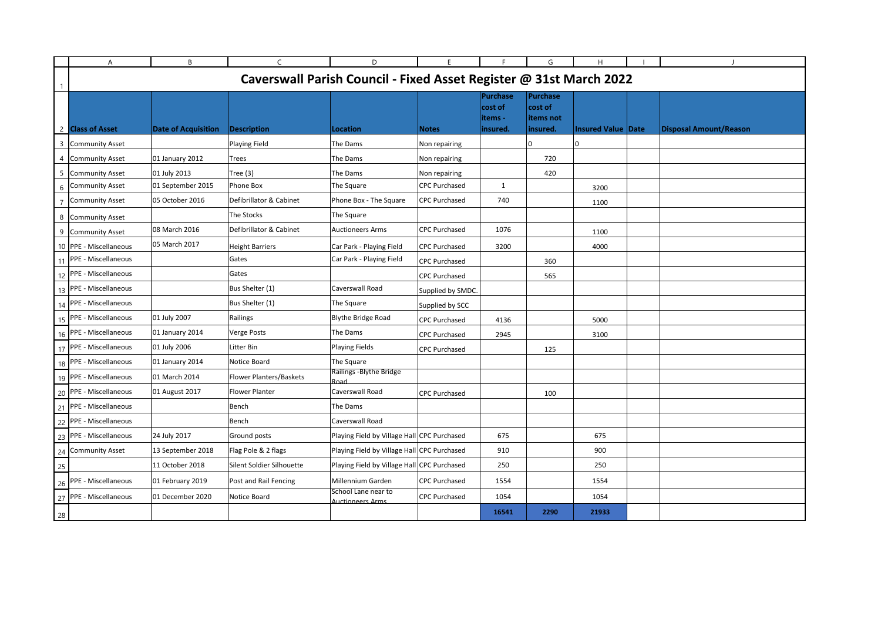|                | A                                                                  | B                          | $\mathsf{C}$                   | D                                                      | E.                   | F.                                         | G                                            | H                         |  | $\blacksquare$         |
|----------------|--------------------------------------------------------------------|----------------------------|--------------------------------|--------------------------------------------------------|----------------------|--------------------------------------------|----------------------------------------------|---------------------------|--|------------------------|
| -1             | Caverswall Parish Council - Fixed Asset Register @ 31st March 2022 |                            |                                |                                                        |                      |                                            |                                              |                           |  |                        |
|                | 2 Class of Asset                                                   | <b>Date of Acquisition</b> | <b>Description</b>             | Location                                               | Notes                | Purchase<br>cost of<br>items -<br>insured. | Purchase<br>cost of<br>items not<br>insured. | <b>Insured Value Date</b> |  | Disposal Amount/Reason |
| 3              | <b>Community Asset</b>                                             |                            | Playing Field                  | The Dams                                               | Non repairing        |                                            | <sup>n</sup>                                 | $\mathbf 0$               |  |                        |
| 4              | <b>Community Asset</b>                                             | 01 January 2012            | <b>Trees</b>                   | The Dams                                               | Non repairing        |                                            | 720                                          |                           |  |                        |
| 5              | <b>Community Asset</b>                                             | 01 July 2013               | Tree $(3)$                     | The Dams                                               | Non repairing        |                                            | 420                                          |                           |  |                        |
| 6              | <b>Community Asset</b>                                             | 01 September 2015          | Phone Box                      | The Square                                             | <b>CPC Purchased</b> | $\mathbf{1}$                               |                                              | 3200                      |  |                        |
| $\overline{7}$ | <b>Community Asset</b>                                             | 05 October 2016            | Defibrillator & Cabinet        | Phone Box - The Square                                 | <b>CPC Purchased</b> | 740                                        |                                              | 1100                      |  |                        |
| 8              | <b>Community Asset</b>                                             |                            | The Stocks                     | The Square                                             |                      |                                            |                                              |                           |  |                        |
| 9              | <b>Community Asset</b>                                             | 08 March 2016              | Defibrillator & Cabinet        | <b>Auctioneers Arms</b>                                | <b>CPC Purchased</b> | 1076                                       |                                              | 1100                      |  |                        |
|                | 10 PPE - Miscellaneous                                             | 05 March 2017              | <b>Height Barriers</b>         | Car Park - Playing Field                               | <b>CPC Purchased</b> | 3200                                       |                                              | 4000                      |  |                        |
|                | 11 PPE - Miscellaneous                                             |                            | Gates                          | Car Park - Playing Field                               | <b>CPC Purchased</b> |                                            | 360                                          |                           |  |                        |
|                | 12 PPE - Miscellaneous                                             |                            | Gates                          |                                                        | <b>CPC Purchased</b> |                                            | 565                                          |                           |  |                        |
| 13             | PPE - Miscellaneous                                                |                            | Bus Shelter (1)                | Caverswall Road                                        | Supplied by SMDC.    |                                            |                                              |                           |  |                        |
|                | 14 PPE - Miscellaneous                                             |                            | Bus Shelter (1)                | The Square                                             | Supplied by SCC      |                                            |                                              |                           |  |                        |
| 15             | PPE - Miscellaneous                                                | 01 July 2007               | Railings                       | <b>Blythe Bridge Road</b>                              | <b>CPC Purchased</b> | 4136                                       |                                              | 5000                      |  |                        |
|                | 16 PPE - Miscellaneous                                             | 01 January 2014            | Verge Posts                    | The Dams                                               | <b>CPC Purchased</b> | 2945                                       |                                              | 3100                      |  |                        |
|                | 17 PPE - Miscellaneous                                             | 01 July 2006               | Litter Bin                     | Playing Fields                                         | <b>CPC Purchased</b> |                                            | 125                                          |                           |  |                        |
|                | 18 PPE - Miscellaneous                                             | 01 January 2014            | Notice Board                   | The Square                                             |                      |                                            |                                              |                           |  |                        |
|                | 19 PPE - Miscellaneous                                             | 01 March 2014              | <b>Flower Planters/Baskets</b> | Railings - Blythe Bridge<br>Road                       |                      |                                            |                                              |                           |  |                        |
|                | 20 PPE - Miscellaneous                                             | 01 August 2017             | <b>Flower Planter</b>          | Caverswall Road                                        | <b>CPC Purchased</b> |                                            | 100                                          |                           |  |                        |
| 21             | PPE - Miscellaneous                                                |                            | Bench                          | The Dams                                               |                      |                                            |                                              |                           |  |                        |
|                | 22 PPE - Miscellaneous                                             |                            | Bench                          | Caverswall Road                                        |                      |                                            |                                              |                           |  |                        |
| 23             | PPE - Miscellaneous                                                | 24 July 2017               | Ground posts                   | Playing Field by Village Hall CPC Purchased            |                      | 675                                        |                                              | 675                       |  |                        |
| 24             | <b>Community Asset</b>                                             | 13 September 2018          | Flag Pole & 2 flags            | Playing Field by Village Hall CPC Purchased            |                      | 910                                        |                                              | 900                       |  |                        |
| 25             |                                                                    | 11 October 2018            | Silent Soldier Silhouette      | Playing Field by Village Hall CPC Purchased            |                      | 250                                        |                                              | 250                       |  |                        |
| 26             | PPE - Miscellaneous                                                | 01 February 2019           | Post and Rail Fencing          | Millennium Garden                                      | <b>CPC Purchased</b> | 1554                                       |                                              | 1554                      |  |                        |
|                | 27 PPE - Miscellaneous                                             | 01 December 2020           | Notice Board                   | School Lane near to<br><b><u> Auctioneers Arms</u></b> | <b>CPC Purchased</b> | 1054                                       |                                              | 1054                      |  |                        |
| 28             |                                                                    |                            |                                |                                                        |                      | 16541                                      | 2290                                         | 21933                     |  |                        |